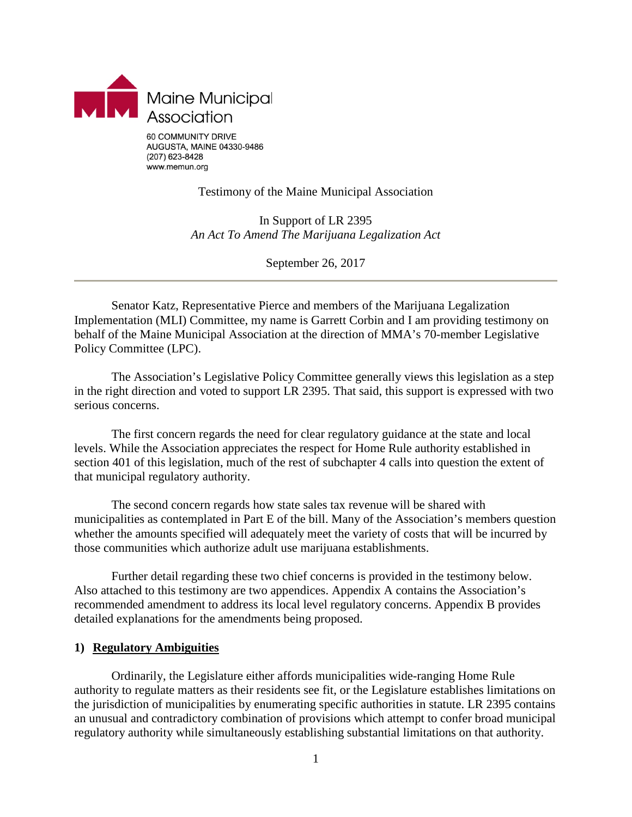

### Testimony of the Maine Municipal Association

In Support of LR 2395 *An Act To Amend The Marijuana Legalization Act*

September 26, 2017

Senator Katz, Representative Pierce and members of the Marijuana Legalization Implementation (MLI) Committee, my name is Garrett Corbin and I am providing testimony on behalf of the Maine Municipal Association at the direction of MMA's 70-member Legislative Policy Committee (LPC).

The Association's Legislative Policy Committee generally views this legislation as a step in the right direction and voted to support LR 2395. That said, this support is expressed with two serious concerns.

The first concern regards the need for clear regulatory guidance at the state and local levels. While the Association appreciates the respect for Home Rule authority established in section 401 of this legislation, much of the rest of subchapter 4 calls into question the extent of that municipal regulatory authority.

The second concern regards how state sales tax revenue will be shared with municipalities as contemplated in Part E of the bill. Many of the Association's members question whether the amounts specified will adequately meet the variety of costs that will be incurred by those communities which authorize adult use marijuana establishments.

Further detail regarding these two chief concerns is provided in the testimony below. Also attached to this testimony are two appendices. Appendix A contains the Association's recommended amendment to address its local level regulatory concerns. Appendix B provides detailed explanations for the amendments being proposed.

### **1) Regulatory Ambiguities**

Ordinarily, the Legislature either affords municipalities wide-ranging Home Rule authority to regulate matters as their residents see fit, or the Legislature establishes limitations on the jurisdiction of municipalities by enumerating specific authorities in statute. LR 2395 contains an unusual and contradictory combination of provisions which attempt to confer broad municipal regulatory authority while simultaneously establishing substantial limitations on that authority.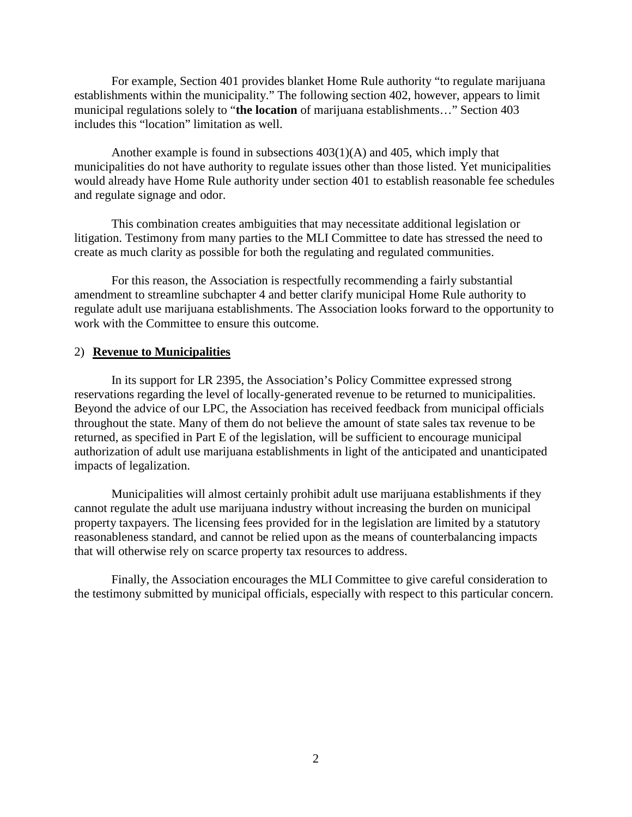For example, Section 401 provides blanket Home Rule authority "to regulate marijuana establishments within the municipality." The following section 402, however, appears to limit municipal regulations solely to "**the location** of marijuana establishments…" Section 403 includes this "location" limitation as well.

Another example is found in subsections 403(1)(A) and 405, which imply that municipalities do not have authority to regulate issues other than those listed. Yet municipalities would already have Home Rule authority under section 401 to establish reasonable fee schedules and regulate signage and odor.

This combination creates ambiguities that may necessitate additional legislation or litigation. Testimony from many parties to the MLI Committee to date has stressed the need to create as much clarity as possible for both the regulating and regulated communities.

For this reason, the Association is respectfully recommending a fairly substantial amendment to streamline subchapter 4 and better clarify municipal Home Rule authority to regulate adult use marijuana establishments. The Association looks forward to the opportunity to work with the Committee to ensure this outcome.

### 2) **Revenue to Municipalities**

In its support for LR 2395, the Association's Policy Committee expressed strong reservations regarding the level of locally-generated revenue to be returned to municipalities. Beyond the advice of our LPC, the Association has received feedback from municipal officials throughout the state. Many of them do not believe the amount of state sales tax revenue to be returned, as specified in Part E of the legislation, will be sufficient to encourage municipal authorization of adult use marijuana establishments in light of the anticipated and unanticipated impacts of legalization.

Municipalities will almost certainly prohibit adult use marijuana establishments if they cannot regulate the adult use marijuana industry without increasing the burden on municipal property taxpayers. The licensing fees provided for in the legislation are limited by a statutory reasonableness standard, and cannot be relied upon as the means of counterbalancing impacts that will otherwise rely on scarce property tax resources to address.

Finally, the Association encourages the MLI Committee to give careful consideration to the testimony submitted by municipal officials, especially with respect to this particular concern.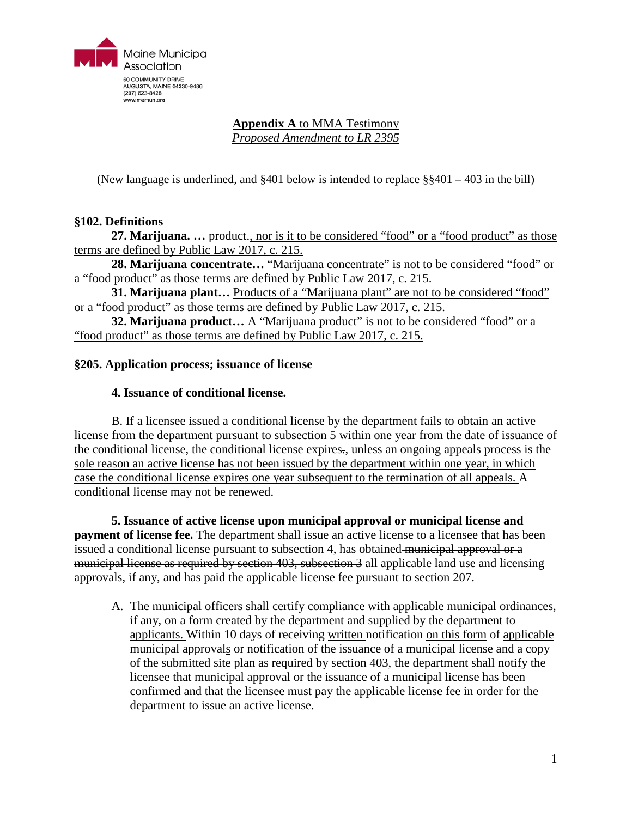

# **Appendix A** to MMA Testimony

*Proposed Amendment to LR 2395*

(New language is underlined, and §401 below is intended to replace §§401 – 403 in the bill)

# **§102. Definitions**

**27. Marijuana. ...** product<sub>r</sub>, nor is it to be considered "food" or a "food product" as those terms are defined by Public Law 2017, c. 215.

28. Marijuana concentrate... "Marijuana concentrate" is not to be considered "food" or a "food product" as those terms are defined by Public Law 2017, c. 215.

**31. Marijuana plant...** Products of a "Marijuana plant" are not to be considered "food" or a "food product" as those terms are defined by Public Law 2017, c. 215.

**32. Marijuana product...** A "Marijuana product" is not to be considered "food" or a "food product" as those terms are defined by Public Law 2017, c. 215.

### **§205. Application process; issuance of license**

### **4. Issuance of conditional license.**

B. If a licensee issued a conditional license by the department fails to obtain an active license from the department pursuant to subsection 5 within one year from the date of issuance of the conditional license, the conditional license expires., unless an ongoing appeals process is the sole reason an active license has not been issued by the department within one year, in which case the conditional license expires one year subsequent to the termination of all appeals. A conditional license may not be renewed.

**5. Issuance of active license upon municipal approval or municipal license and payment of license fee.** The department shall issue an active license to a licensee that has been issued a conditional license pursuant to subsection 4, has obtained municipal approval or a municipal license as required by section 403, subsection 3 all applicable land use and licensing approvals, if any, and has paid the applicable license fee pursuant to section 207.

A. The municipal officers shall certify compliance with applicable municipal ordinances, if any, on a form created by the department and supplied by the department to applicants. Within 10 days of receiving written notification on this form of applicable municipal approvals or notification of the issuance of a municipal license and a copy of the submitted site plan as required by section 403, the department shall notify the licensee that municipal approval or the issuance of a municipal license has been confirmed and that the licensee must pay the applicable license fee in order for the department to issue an active license.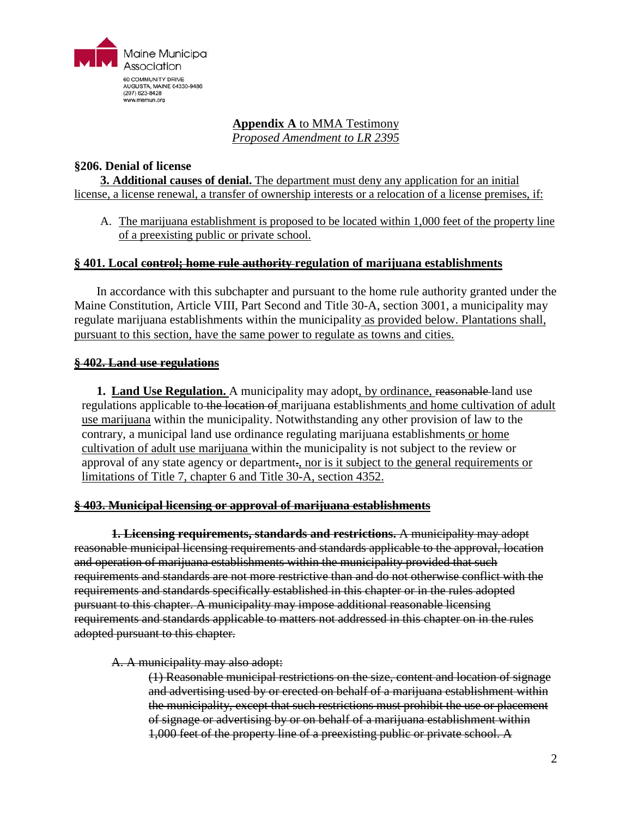

# **Appendix A** to MMA Testimony

*Proposed Amendment to LR 2395*

## **§206. Denial of license**

**3. Additional causes of denial.** The department must deny any application for an initial license, a license renewal, a transfer of ownership interests or a relocation of a license premises, if:

A. The marijuana establishment is proposed to be located within 1,000 feet of the property line of a preexisting public or private school.

# **§ 401. Local control; home rule authority regulation of marijuana establishments**

In accordance with this subchapter and pursuant to the home rule authority granted under the Maine Constitution, Article VIII, Part Second and Title 30-A, section 3001, a municipality may regulate marijuana establishments within the municipality as provided below. Plantations shall, pursuant to this section, have the same power to regulate as towns and cities.

# **§ 402. Land use regulations**

**1. Land Use Regulation.** A municipality may adopt, by ordinance, reasonable-land use regulations applicable to the location of marijuana establishments and home cultivation of adult use marijuana within the municipality. Notwithstanding any other provision of law to the contrary, a municipal land use ordinance regulating marijuana establishments or home cultivation of adult use marijuana within the municipality is not subject to the review or approval of any state agency or department., nor is it subject to the general requirements or limitations of Title 7, chapter 6 and Title 30-A, section 4352.

### **§ 403. Municipal licensing or approval of marijuana establishments**

**1. Licensing requirements, standards and restrictions.** A municipality may adopt reasonable municipal licensing requirements and standards applicable to the approval, location and operation of marijuana establishments within the municipality provided that such requirements and standards are not more restrictive than and do not otherwise conflict with the requirements and standards specifically established in this chapter or in the rules adopted pursuant to this chapter. A municipality may impose additional reasonable licensing requirements and standards applicable to matters not addressed in this chapter on in the rules adopted pursuant to this chapter.

### A. A municipality may also adopt:

(1) Reasonable municipal restrictions on the size, content and location of signage and advertising used by or erected on behalf of a marijuana establishment within the municipality, except that such restrictions must prohibit the use or placement of signage or advertising by or on behalf of a marijuana establishment within 1,000 feet of the property line of a preexisting public or private school. A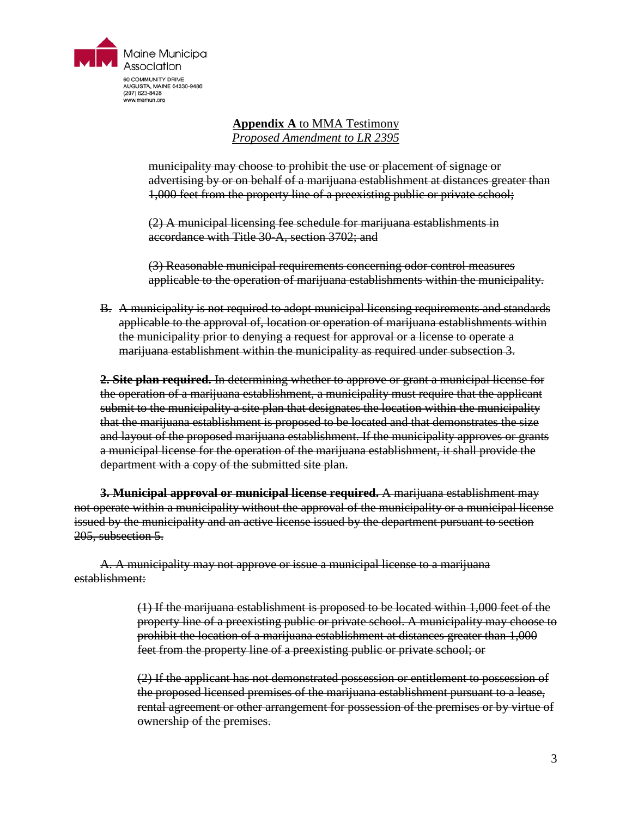

# **Appendix A** to MMA Testimony *Proposed Amendment to LR 2395*

municipality may choose to prohibit the use or placement of signage or advertising by or on behalf of a marijuana establishment at distances greater than 1,000 feet from the property line of a preexisting public or private school;

(2) A municipal licensing fee schedule for marijuana establishments in accordance with Title 30-A, section 3702; and

(3) Reasonable municipal requirements concerning odor control measures applicable to the operation of marijuana establishments within the municipality.

B. A municipality is not required to adopt municipal licensing requirements and standards applicable to the approval of, location or operation of marijuana establishments within the municipality prior to denying a request for approval or a license to operate a marijuana establishment within the municipality as required under subsection 3.

**2. Site plan required.** In determining whether to approve or grant a municipal license for the operation of a marijuana establishment, a municipality must require that the applicant submit to the municipality a site plan that designates the location within the municipality that the marijuana establishment is proposed to be located and that demonstrates the size and layout of the proposed marijuana establishment. If the municipality approves or grants a municipal license for the operation of the marijuana establishment, it shall provide the department with a copy of the submitted site plan.

**3. Municipal approval or municipal license required.** A marijuana establishment may not operate within a municipality without the approval of the municipality or a municipal license issued by the municipality and an active license issued by the department pursuant to section 205, subsection 5.

A. A municipality may not approve or issue a municipal license to a marijuana establishment:

> (1) If the marijuana establishment is proposed to be located within 1,000 feet of the property line of a preexisting public or private school. A municipality may choose to prohibit the location of a marijuana establishment at distances greater than 1,000 feet from the property line of a preexisting public or private school; or

> (2) If the applicant has not demonstrated possession or entitlement to possession of the proposed licensed premises of the marijuana establishment pursuant to a lease, rental agreement or other arrangement for possession of the premises or by virtue of ownership of the premises.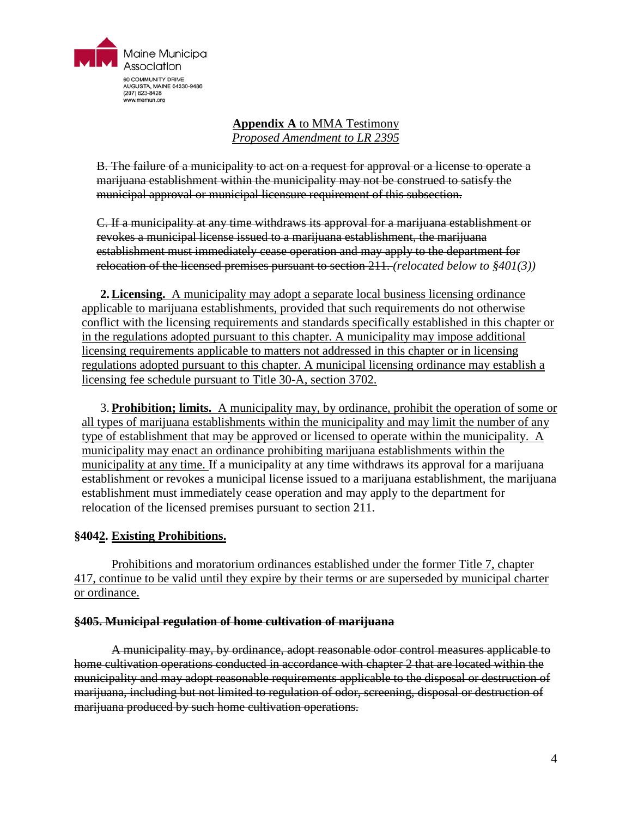

### **Appendix A** to MMA Testimony *Proposed Amendment to LR 2395*

B. The failure of a municipality to act on a request for approval or a license to operate a marijuana establishment within the municipality may not be construed to satisfy the municipal approval or municipal licensure requirement of this subsection.

C. If a municipality at any time withdraws its approval for a marijuana establishment or revokes a municipal license issued to a marijuana establishment, the marijuana establishment must immediately cease operation and may apply to the department for relocation of the licensed premises pursuant to section 211. *(relocated below to §401(3))*

**2.Licensing.** A municipality may adopt a separate local business licensing ordinance applicable to marijuana establishments, provided that such requirements do not otherwise conflict with the licensing requirements and standards specifically established in this chapter or in the regulations adopted pursuant to this chapter. A municipality may impose additional licensing requirements applicable to matters not addressed in this chapter or in licensing regulations adopted pursuant to this chapter. A municipal licensing ordinance may establish a licensing fee schedule pursuant to Title 30-A, section 3702.

3.**Prohibition; limits.** A municipality may, by ordinance, prohibit the operation of some or all types of marijuana establishments within the municipality and may limit the number of any type of establishment that may be approved or licensed to operate within the municipality. A municipality may enact an ordinance prohibiting marijuana establishments within the municipality at any time. If a municipality at any time withdraws its approval for a marijuana establishment or revokes a municipal license issued to a marijuana establishment, the marijuana establishment must immediately cease operation and may apply to the department for relocation of the licensed premises pursuant to section 211.

# **§4042. Existing Prohibitions.**

Prohibitions and moratorium ordinances established under the former Title 7, chapter 417, continue to be valid until they expire by their terms or are superseded by municipal charter or ordinance.

### **§405. Municipal regulation of home cultivation of marijuana**

A municipality may, by ordinance, adopt reasonable odor control measures applicable to home cultivation operations conducted in accordance with chapter 2 that are located within the municipality and may adopt reasonable requirements applicable to the disposal or destruction of marijuana, including but not limited to regulation of odor, screening, disposal or destruction of marijuana produced by such home cultivation operations.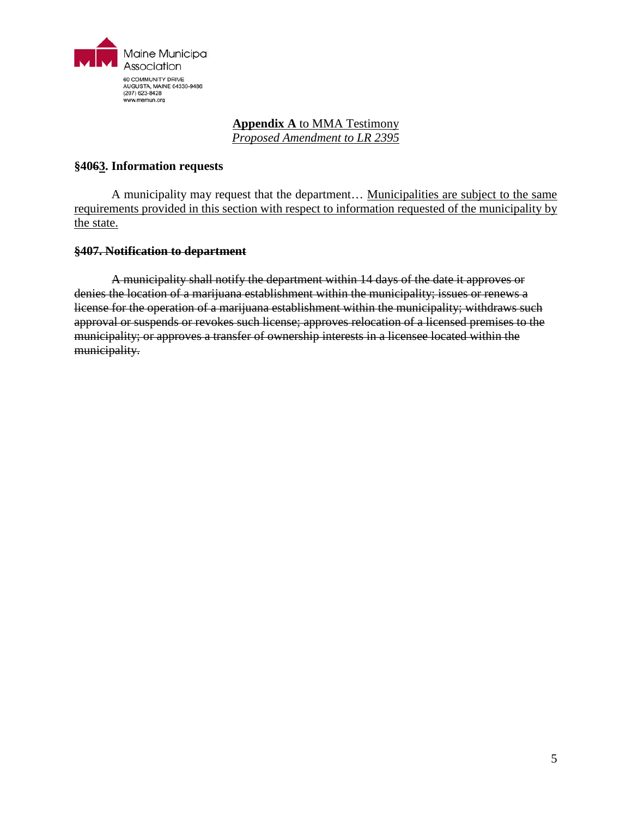

# **Appendix A** to MMA Testimony

*Proposed Amendment to LR 2395*

### **§4063. Information requests**

A municipality may request that the department… Municipalities are subject to the same requirements provided in this section with respect to information requested of the municipality by the state.

### **§407. Notification to department**

A municipality shall notify the department within 14 days of the date it approves or denies the location of a marijuana establishment within the municipality; issues or renews a license for the operation of a marijuana establishment within the municipality; withdraws such approval or suspends or revokes such license; approves relocation of a licensed premises to the municipality; or approves a transfer of ownership interests in a licensee located within the municipality.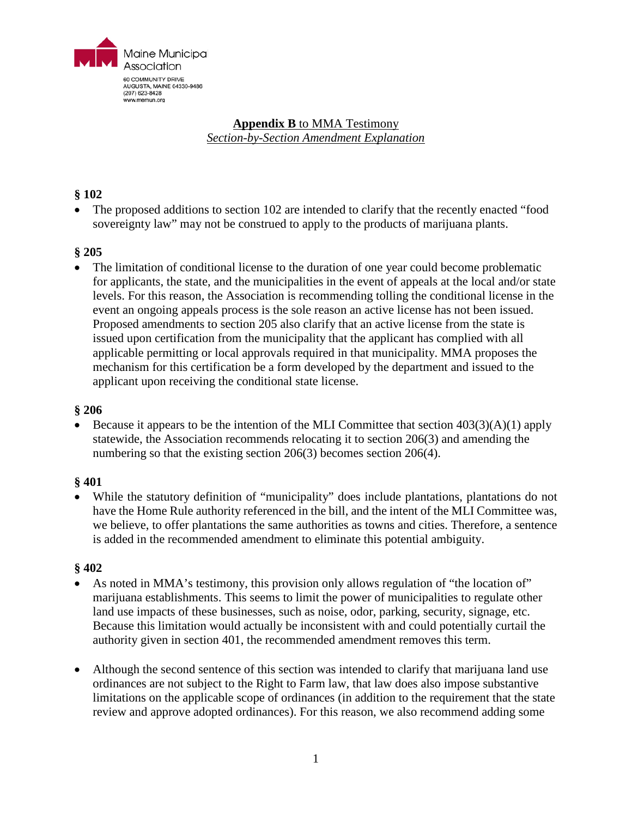

# **Appendix B** to MMA Testimony *Section-by-Section Amendment Explanation*

# **§ 102**

• The proposed additions to section 102 are intended to clarify that the recently enacted "food sovereignty law" may not be construed to apply to the products of marijuana plants.

# **§ 205**

• The limitation of conditional license to the duration of one year could become problematic for applicants, the state, and the municipalities in the event of appeals at the local and/or state levels. For this reason, the Association is recommending tolling the conditional license in the event an ongoing appeals process is the sole reason an active license has not been issued. Proposed amendments to section 205 also clarify that an active license from the state is issued upon certification from the municipality that the applicant has complied with all applicable permitting or local approvals required in that municipality. MMA proposes the mechanism for this certification be a form developed by the department and issued to the applicant upon receiving the conditional state license.

### **§ 206**

Because it appears to be the intention of the MLI Committee that section  $403(3)(A)(1)$  apply statewide, the Association recommends relocating it to section 206(3) and amending the numbering so that the existing section 206(3) becomes section 206(4).

### **§ 401**

• While the statutory definition of "municipality" does include plantations, plantations do not have the Home Rule authority referenced in the bill, and the intent of the MLI Committee was, we believe, to offer plantations the same authorities as towns and cities. Therefore, a sentence is added in the recommended amendment to eliminate this potential ambiguity.

### **§ 402**

- As noted in MMA's testimony, this provision only allows regulation of "the location of" marijuana establishments. This seems to limit the power of municipalities to regulate other land use impacts of these businesses, such as noise, odor, parking, security, signage, etc. Because this limitation would actually be inconsistent with and could potentially curtail the authority given in section 401, the recommended amendment removes this term.
- Although the second sentence of this section was intended to clarify that marijuana land use ordinances are not subject to the Right to Farm law, that law does also impose substantive limitations on the applicable scope of ordinances (in addition to the requirement that the state review and approve adopted ordinances). For this reason, we also recommend adding some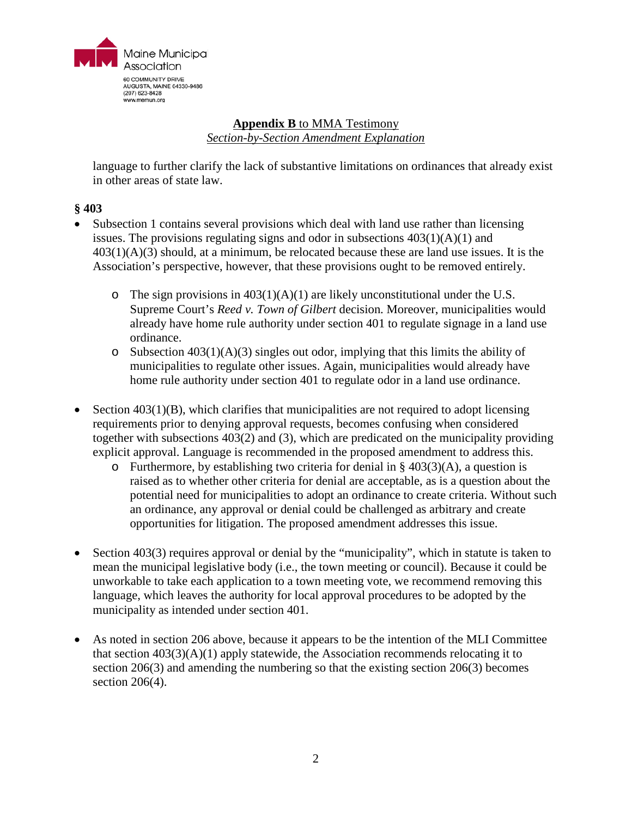

# **Appendix B** to MMA Testimony *Section-by-Section Amendment Explanation*

language to further clarify the lack of substantive limitations on ordinances that already exist in other areas of state law.

# **§ 403**

- Subsection 1 contains several provisions which deal with land use rather than licensing issues. The provisions regulating signs and odor in subsections  $403(1)(A)(1)$  and  $403(1)(A)(3)$  should, at a minimum, be relocated because these are land use issues. It is the Association's perspective, however, that these provisions ought to be removed entirely.
	- $\circ$  The sign provisions in 403(1)(A)(1) are likely unconstitutional under the U.S. Supreme Court's *Reed v. Town of Gilbert* decision. Moreover, municipalities would already have home rule authority under section 401 to regulate signage in a land use ordinance.
	- $\circ$  Subsection 403(1)(A)(3) singles out odor, implying that this limits the ability of municipalities to regulate other issues. Again, municipalities would already have home rule authority under section 401 to regulate odor in a land use ordinance.
- Section  $403(1)(B)$ , which clarifies that municipalities are not required to adopt licensing requirements prior to denying approval requests, becomes confusing when considered together with subsections 403(2) and (3), which are predicated on the municipality providing explicit approval. Language is recommended in the proposed amendment to address this.
	- o Furthermore, by establishing two criteria for denial in  $\S$  403(3)(A), a question is raised as to whether other criteria for denial are acceptable, as is a question about the potential need for municipalities to adopt an ordinance to create criteria. Without such an ordinance, any approval or denial could be challenged as arbitrary and create opportunities for litigation. The proposed amendment addresses this issue.
- Section 403(3) requires approval or denial by the "municipality", which in statute is taken to mean the municipal legislative body (i.e., the town meeting or council). Because it could be unworkable to take each application to a town meeting vote, we recommend removing this language, which leaves the authority for local approval procedures to be adopted by the municipality as intended under section 401.
- As noted in section 206 above, because it appears to be the intention of the MLI Committee that section  $403(3)(A)(1)$  apply statewide, the Association recommends relocating it to section 206(3) and amending the numbering so that the existing section 206(3) becomes section 206(4).